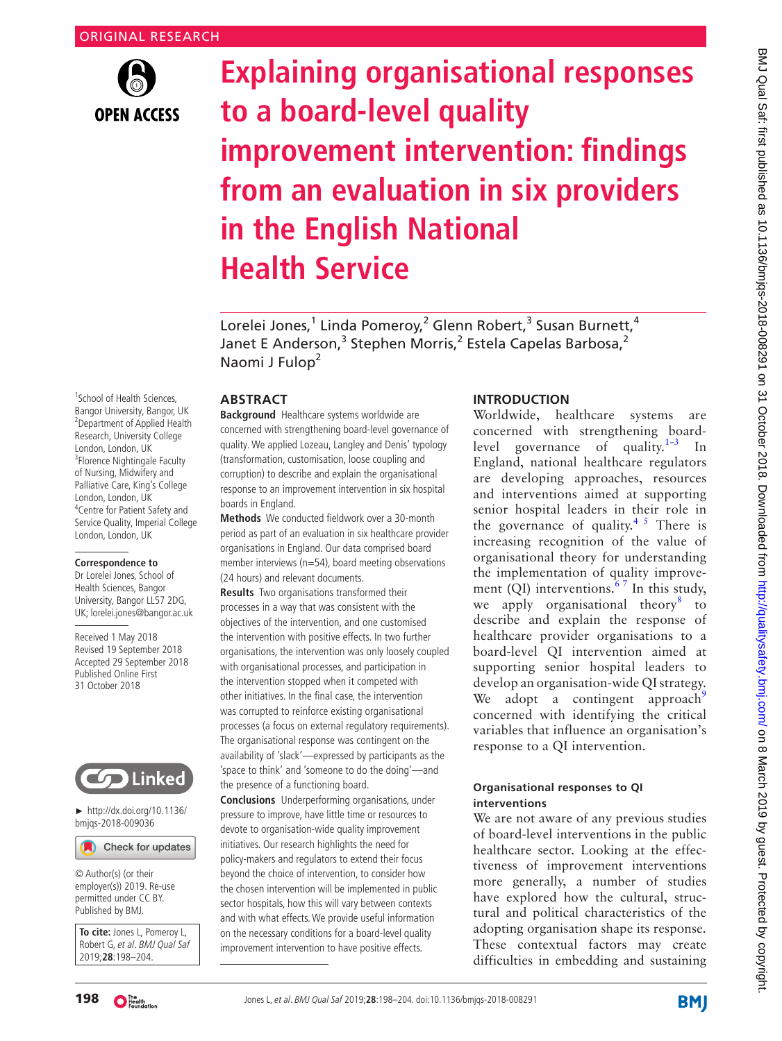

**to a board-level quality improvement intervention: findings from an evaluation in six providers in the English National Health Service**

**Explaining organisational responses** 

Lorelei Jones,<sup>1</sup> Linda Pomeroy,<sup>2</sup> Glenn Robert,<sup>3</sup> Susan Burnett,<sup>4</sup> Janet E Anderson,<sup>3</sup> Stephen Morris,<sup>2</sup> Estela Capelas Barbosa,<sup>2</sup> Naomi J Fulop<sup>2</sup>

#### **Abstract**

**Background** Healthcare systems worldwide are concerned with strengthening board-level governance of quality. We applied Lozeau, Langley and Denis' typology (transformation, customisation, loose coupling and corruption) to describe and explain the organisational response to an improvement intervention in six hospital boards in England.

**Methods** We conducted fieldwork over a 30-month period as part of an evaluation in six healthcare provider organisations in England. Our data comprised board member interviews (n=54), board meeting observations (24 hours) and relevant documents.

**Results** Two organisations transformed their processes in a way that was consistent with the objectives of the intervention, and one customised the intervention with positive effects. In two further organisations, the intervention was only loosely coupled with organisational processes, and participation in the intervention stopped when it competed with other initiatives. In the final case, the intervention was corrupted to reinforce existing organisational processes (a focus on external regulatory requirements). The organisational response was contingent on the availability of 'slack'—expressed by participants as the 'space to think' and 'someone to do the doing'—and the presence of a functioning board.

**Conclusions** Underperforming organisations, under pressure to improve, have little time or resources to devote to organisation-wide quality improvement initiatives. Our research highlights the need for policy-makers and regulators to extend their focus beyond the choice of intervention, to consider how the chosen intervention will be implemented in public sector hospitals, how this will vary between contexts and with what effects. We provide useful information on the necessary conditions for a board-level quality improvement intervention to have positive effects.

#### **Introduction**

Worldwide, healthcare systems are concerned with strengthening boardlevel governance of quality. $1-3$  In England, national healthcare regulators are developing approaches, resources and interventions aimed at supporting senior hospital leaders in their role in the governance of quality.<sup>[4 5](#page-5-1)</sup> There is increasing recognition of the value of organisational theory for understanding the implementation of quality improvement (QI) interventions.<sup>67</sup> In this study, we apply organisational theory<sup>[8](#page-5-3)</sup> to describe and explain the response of healthcare provider organisations to a board-level QI intervention aimed at supporting senior hospital leaders to develop an organisation-wide QI strategy. We adopt a contingent approach<sup>[9](#page-5-4)</sup> concerned with identifying the critical variables that influence an organisation's response to a QI intervention.

#### **Organisational responses to QI interventions**

We are not aware of any previous studies of board-level interventions in the public healthcare sector. Looking at the effectiveness of improvement interventions more generally, a number of studies have explored how the cultural, structural and political characteristics of the adopting organisation shape its response. These contextual factors may create difficulties in embedding and sustaining

<sup>1</sup>School of Health Sciences, Bangor University, Bangor, UK 2 Department of Applied Health Research, University College London, London, UK <sup>3</sup> Florence Nightingale Faculty of Nursing, Midwifery and Palliative Care, King's College London, London, UK 4 Centre for Patient Safety and Service Quality, Imperial College London, London, UK

#### **Correspondence to**

Dr Lorelei Jones, School of Health Sciences, Bangor University, Bangor LL57 2DG, UK; lorelei.jones@bangor.ac.uk

Received 1 May 2018 Revised 19 September 2018 Accepted 29 September 2018 Published Online First 31 October 2018



► [http://dx.doi.org/10.1136/](http://dx.doi.org/10.1136/bmjqs-2018-009036) [bmjqs-2018-009036](http://dx.doi.org/10.1136/bmjqs-2018-009036)

Check for updates

© Author(s) (or their employer(s)) 2019. Re-use permitted under CC BY. Published by BMJ.

**To cite:** Jones L, Pomeroy L, Robert G, et al. BMJ Qual Saf 2019;**28**:198–204.



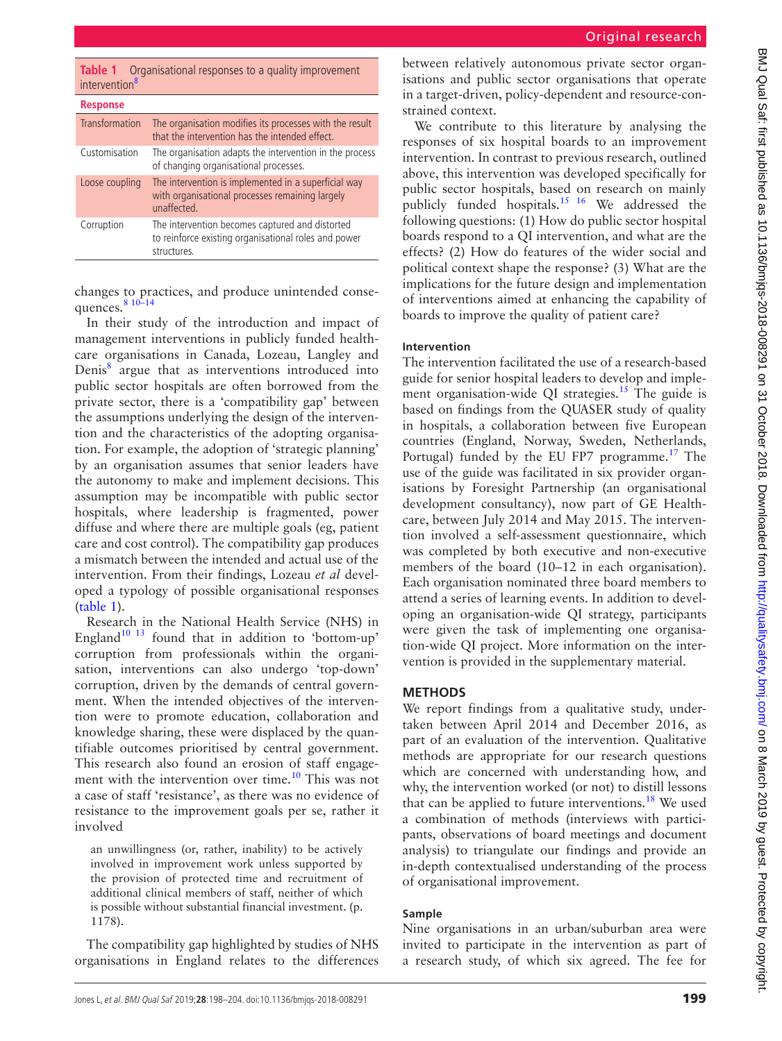| 2M   Diral のaft firet nirhliehead ae 4D 4426/hmaine-2048-DD8204 ae 24 Deterber 2048. Determin |
|-----------------------------------------------------------------------------------------------|
|                                                                                               |
|                                                                                               |
|                                                                                               |
|                                                                                               |
|                                                                                               |
|                                                                                               |
|                                                                                               |
|                                                                                               |
|                                                                                               |
|                                                                                               |
|                                                                                               |
|                                                                                               |
|                                                                                               |
|                                                                                               |
|                                                                                               |
|                                                                                               |
|                                                                                               |
|                                                                                               |
|                                                                                               |
|                                                                                               |
|                                                                                               |
|                                                                                               |
|                                                                                               |
|                                                                                               |
|                                                                                               |
|                                                                                               |
|                                                                                               |
|                                                                                               |
|                                                                                               |
|                                                                                               |
|                                                                                               |
|                                                                                               |
|                                                                                               |
|                                                                                               |
|                                                                                               |
|                                                                                               |
|                                                                                               |
|                                                                                               |
|                                                                                               |
|                                                                                               |
|                                                                                               |
|                                                                                               |
| $\ddot{\phantom{a}}$                                                                          |
|                                                                                               |
|                                                                                               |
|                                                                                               |
|                                                                                               |
|                                                                                               |
|                                                                                               |
|                                                                                               |
|                                                                                               |
|                                                                                               |
|                                                                                               |
|                                                                                               |
|                                                                                               |
|                                                                                               |
|                                                                                               |
|                                                                                               |

<span id="page-1-0"></span>

| intervention <sup>8</sup> | <b>Table 1</b> Organisational responses to a quality improvement       |
|---------------------------|------------------------------------------------------------------------|
| Response                  |                                                                        |
|                           | Transformation The organisation modifies its processes with the result |

| <b>Transformation</b> | The organisation modifies its processes with the result<br>that the intervention has the intended effect.              |
|-----------------------|------------------------------------------------------------------------------------------------------------------------|
| Customisation         | The organisation adapts the intervention in the process<br>of changing organisational processes.                       |
| Loose coupling        | The intervention is implemented in a superficial way<br>with organisational processes remaining largely<br>unaffected. |
| Corruption            | The intervention becomes captured and distorted<br>to reinforce existing organisational roles and power<br>structures. |

changes to practices, and produce unintended consequences.[8 10–14](#page-5-3)

In their study of the introduction and impact of management interventions in publicly funded healthcare organisations in Canada, Lozeau, Langley and Denis<sup>8</sup> argue that as interventions introduced into public sector hospitals are often borrowed from the private sector, there is a 'compatibility gap' between the assumptions underlying the design of the intervention and the characteristics of the adopting organisation. For example, the adoption of 'strategic planning' by an organisation assumes that senior leaders have the autonomy to make and implement decisions. This assumption may be incompatible with public sector hospitals, where leadership is fragmented, power diffuse and where there are multiple goals (eg, patient care and cost control). The compatibility gap produces a mismatch between the intended and actual use of the intervention. From their findings, Lozeau *et al* developed a typology of possible organisational responses [\(table](#page-1-0) 1).

Research in the National Health Service (NHS) in England<sup>[10 13](#page-5-5)</sup> found that in addition to 'bottom-up' corruption from professionals within the organisation, interventions can also undergo 'top-down' corruption, driven by the demands of central government. When the intended objectives of the intervention were to promote education, collaboration and knowledge sharing, these were displaced by the quantifiable outcomes prioritised by central government. This research also found an erosion of staff engage-ment with the intervention over time.<sup>[10](#page-5-5)</sup> This was not a case of staff 'resistance', as there was no evidence of resistance to the improvement goals per se, rather it involved

an unwillingness (or, rather, inability) to be actively involved in improvement work unless supported by the provision of protected time and recruitment of additional clinical members of staff, neither of which is possible without substantial financial investment. (p. 1178).

The compatibility gap highlighted by studies of NHS organisations in England relates to the differences

between relatively autonomous private sector organisations and public sector organisations that operate in a target-driven, policy-dependent and resource-constrained context.

We contribute to this literature by analysing the responses of six hospital boards to an improvement intervention. In contrast to previous research, outlined above, this intervention was developed specifically for public sector hospitals, based on research on mainly publicly funded hospitals.<sup>[15 16](#page-6-0)</sup> We addressed the following questions: (1) How do public sector hospital boards respond to a QI intervention, and what are the effects? (2) How do features of the wider social and political context shape the response? (3) What are the implications for the future design and implementation of interventions aimed at enhancing the capability of boards to improve the quality of patient care?

### **Intervention**

The intervention facilitated the use of a research-based guide for senior hospital leaders to develop and imple-ment organisation-wide QI strategies.<sup>[15](#page-6-0)</sup> The guide is based on findings from the QUASER study of quality in hospitals, a collaboration between five European countries (England, Norway, Sweden, Netherlands, Portugal) funded by the EU FP7 programme.<sup>17</sup> The use of the guide was facilitated in six provider organisations by Foresight Partnership (an organisational development consultancy), now part of GE Healthcare, between July 2014 and May 2015. The intervention involved a self-assessment questionnaire, which was completed by both executive and non-executive members of the board (10–12 in each organisation). Each organisation nominated three board members to attend a series of learning events. In addition to developing an organisation-wide QI strategy, participants were given the task of implementing one organisation-wide QI project. More information on the intervention is provided in the [supplementary material](https://dx.doi.org/10.1136/bmjqs-2018-008291).

## **Methods**

We report findings from a qualitative study, undertaken between April 2014 and December 2016, as part of an evaluation of the intervention. Qualitative methods are appropriate for our research questions which are concerned with understanding how, and why, the intervention worked (or not) to distill lessons that can be applied to future interventions.<sup>[18](#page-6-2)</sup> We used a combination of methods (interviews with participants, observations of board meetings and document analysis) to triangulate our findings and provide an in-depth contextualised understanding of the process of organisational improvement.

## **Sample**

Nine organisations in an urban/suburban area were invited to participate in the intervention as part of a research study, of which six agreed. The fee for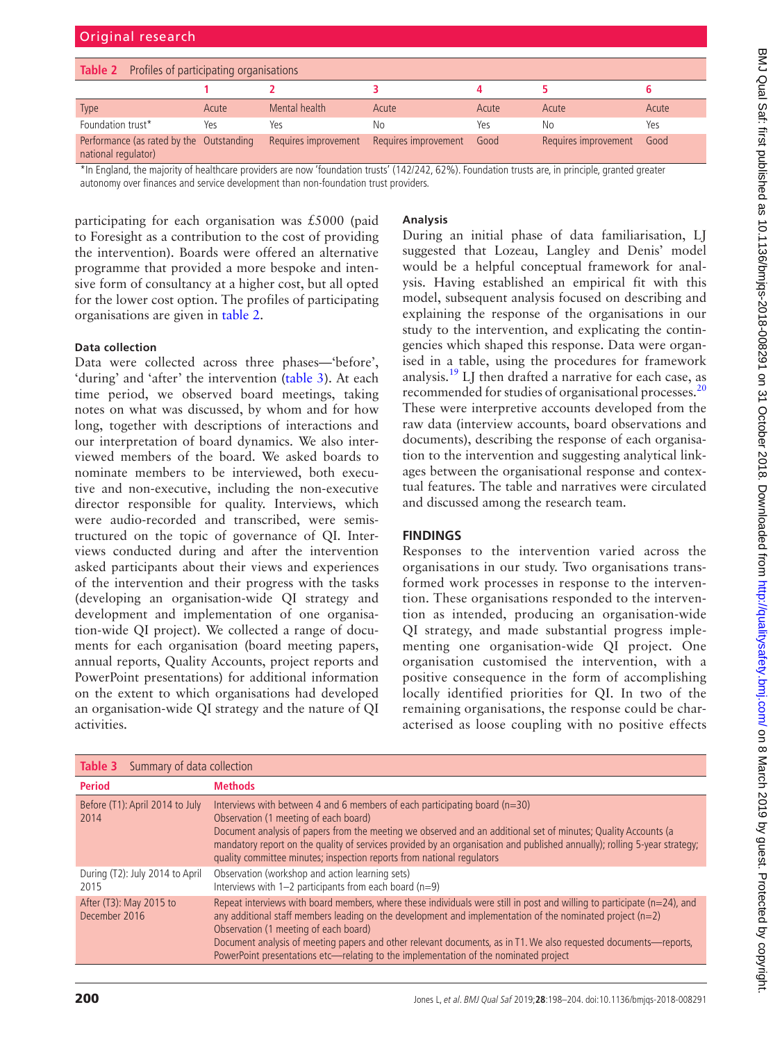<span id="page-2-0"></span>

| Original research                                                                                                                                  |       |                      |                      |       |                      |       |
|----------------------------------------------------------------------------------------------------------------------------------------------------|-------|----------------------|----------------------|-------|----------------------|-------|
| <b>Table 2</b> Profiles of participating organisations                                                                                             |       |                      |                      |       |                      |       |
|                                                                                                                                                    |       |                      |                      | 4     |                      |       |
| <b>Type</b>                                                                                                                                        | Acute | Mental health        | Acute                | Acute | Acute                | Acute |
| Foundation trust*                                                                                                                                  | Yes   | Yes                  | No                   | Yes   | No                   | Yes   |
| Performance (as rated by the Outstanding<br>national regulator)                                                                                    |       | Requires improvement | Requires improvement | Good  | Requires improvement | Good  |
| *In England, the majority of healthcare providers are now 'foundation trusts' (142/242, 62%). Foundation trusts are, in principle, granted greater |       |                      |                      |       |                      |       |

autonomy over finances and service development than non-foundation trust providers.

participating for each organisation was £5000 (paid to Foresight as a contribution to the cost of providing the intervention). Boards were offered an alternative programme that provided a more bespoke and intensive form of consultancy at a higher cost, but all opted for the lower cost option. The profiles of participating organisations are given in [table](#page-2-0) 2.

#### **Data collection**

Data were collected across three phases—'before', 'during' and 'after' the intervention ([table](#page-2-1) 3). At each time period, we observed board meetings, taking notes on what was discussed, by whom and for how long, together with descriptions of interactions and our interpretation of board dynamics. We also interviewed members of the board. We asked boards to nominate members to be interviewed, both executive and non-executive, including the non-executive director responsible for quality. Interviews, which were audio-recorded and transcribed, were semistructured on the topic of governance of QI. Interviews conducted during and after the intervention asked participants about their views and experiences of the intervention and their progress with the tasks (developing an organisation-wide QI strategy and development and implementation of one organisation-wide QI project). We collected a range of documents for each organisation (board meeting papers, annual reports, Quality Accounts, project reports and PowerPoint presentations) for additional information on the extent to which organisations had developed an organisation-wide QI strategy and the nature of QI activities.

#### **Analysis**

During an initial phase of data familiarisation, LJ suggested that Lozeau, Langley and Denis' model would be a helpful conceptual framework for analysis. Having established an empirical fit with this model, subsequent analysis focused on describing and explaining the response of the organisations in our study to the intervention, and explicating the contingencies which shaped this response. Data were organised in a table, using the procedures for framework analysis[.19](#page-6-3) LJ then drafted a narrative for each case, as recommended for studies of organisational processes.<sup>[20](#page-6-4)</sup> These were interpretive accounts developed from the raw data (interview accounts, board observations and documents), describing the response of each organisation to the intervention and suggesting analytical linkages between the organisational response and contextual features. The table and narratives were circulated and discussed among the research team.

#### **Findings**

Responses to the intervention varied across the organisations in our study. Two organisations transformed work processes in response to the intervention. These organisations responded to the intervention as intended, producing an organisation-wide QI strategy, and made substantial progress implementing one organisation-wide QI project. One organisation customised the intervention, with a positive consequence in the form of accomplishing locally identified priorities for QI. In two of the remaining organisations, the response could be characterised as loose coupling with no positive effects

<span id="page-2-1"></span>

| <b>Table 3</b> Summary of data collection |                                                                                                                                                                                                                                                                                                                                                                                                                                                                                                   |  |
|-------------------------------------------|---------------------------------------------------------------------------------------------------------------------------------------------------------------------------------------------------------------------------------------------------------------------------------------------------------------------------------------------------------------------------------------------------------------------------------------------------------------------------------------------------|--|
| <b>Period</b>                             | <b>Methods</b>                                                                                                                                                                                                                                                                                                                                                                                                                                                                                    |  |
| Before (T1): April 2014 to July<br>2014   | Interviews with between 4 and 6 members of each participating board ( $n=30$ )<br>Observation (1 meeting of each board)<br>Document analysis of papers from the meeting we observed and an additional set of minutes; Quality Accounts (a<br>mandatory report on the quality of services provided by an organisation and published annually); rolling 5-year strategy;<br>quality committee minutes; inspection reports from national regulators                                                  |  |
| During (T2): July 2014 to April<br>2015   | Observation (workshop and action learning sets)<br>Interviews with $1-2$ participants from each board ( $n=9$ )                                                                                                                                                                                                                                                                                                                                                                                   |  |
| After (T3): May 2015 to<br>December 2016  | Repeat interviews with board members, where these individuals were still in post and willing to participate ( $n=24$ ), and<br>any additional staff members leading on the development and implementation of the nominated project ( $n=2$ )<br>Observation (1 meeting of each board)<br>Document analysis of meeting papers and other relevant documents, as in T1. We also requested documents—reports,<br>PowerPoint presentations etc—relating to the implementation of the nominated project |  |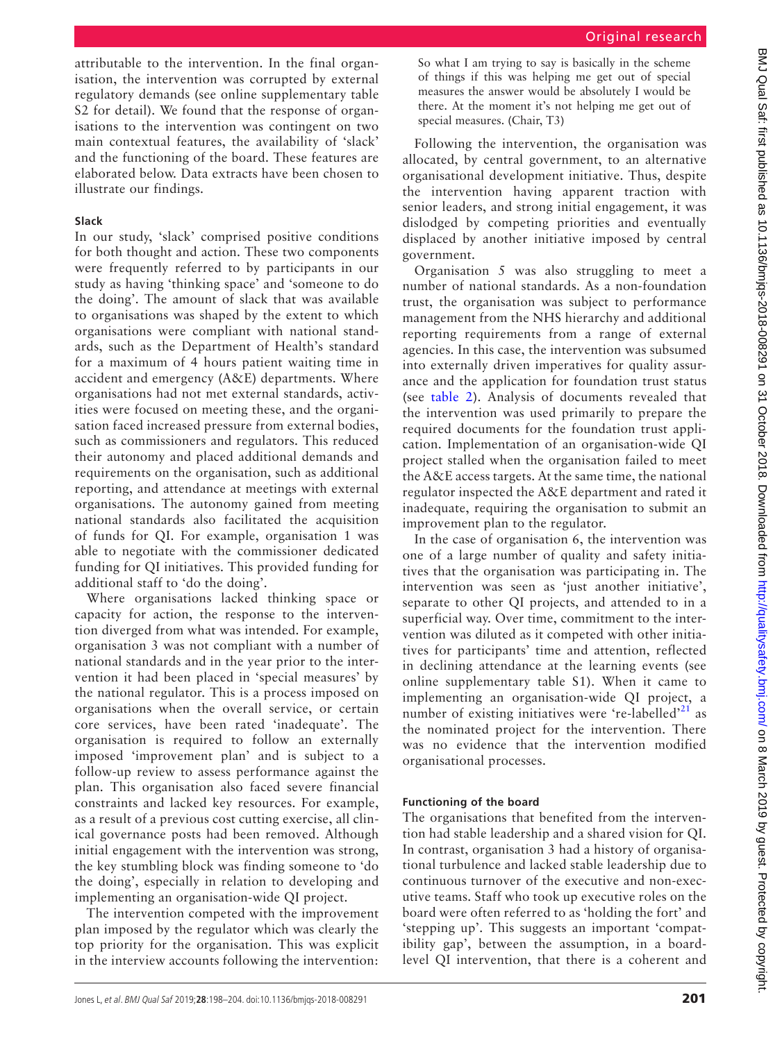attributable to the intervention. In the final organisation, the intervention was corrupted by external regulatory demands (see [online supplementary table](https://dx.doi.org/10.1136/bmjqs-2018-008291)  [S2](https://dx.doi.org/10.1136/bmjqs-2018-008291) for detail). We found that the response of organisations to the intervention was contingent on two main contextual features, the availability of 'slack' and the functioning of the board. These features are elaborated below. Data extracts have been chosen to illustrate our findings.

### **Slack**

In our study, 'slack' comprised positive conditions for both thought and action. These two components were frequently referred to by participants in our study as having 'thinking space' and 'someone to do the doing'. The amount of slack that was available to organisations was shaped by the extent to which organisations were compliant with national standards, such as the Department of Health's standard for a maximum of 4 hours patient waiting time in accident and emergency (A&E) departments. Where organisations had not met external standards, activities were focused on meeting these, and the organisation faced increased pressure from external bodies, such as commissioners and regulators. This reduced their autonomy and placed additional demands and requirements on the organisation, such as additional reporting, and attendance at meetings with external organisations. The autonomy gained from meeting national standards also facilitated the acquisition of funds for QI. For example, organisation 1 was able to negotiate with the commissioner dedicated funding for QI initiatives. This provided funding for additional staff to 'do the doing'.

Where organisations lacked thinking space or capacity for action, the response to the intervention diverged from what was intended. For example, organisation 3 was not compliant with a number of national standards and in the year prior to the intervention it had been placed in 'special measures' by the national regulator. This is a process imposed on organisations when the overall service, or certain core services, have been rated 'inadequate'. The organisation is required to follow an externally imposed 'improvement plan' and is subject to a follow-up review to assess performance against the plan. This organisation also faced severe financial constraints and lacked key resources. For example, as a result of a previous cost cutting exercise, all clinical governance posts had been removed. Although initial engagement with the intervention was strong, the key stumbling block was finding someone to 'do the doing', especially in relation to developing and implementing an organisation-wide QI project.

The intervention competed with the improvement plan imposed by the regulator which was clearly the top priority for the organisation. This was explicit in the interview accounts following the intervention:

So what I am trying to say is basically in the scheme of things if this was helping me get out of special measures the answer would be absolutely I would be there. At the moment it's not helping me get out of special measures. (Chair, T3)

Following the intervention, the organisation was allocated, by central government, to an alternative organisational development initiative. Thus, despite the intervention having apparent traction with senior leaders, and strong initial engagement, it was dislodged by competing priorities and eventually displaced by another initiative imposed by central government.

Organisation 5 was also struggling to meet a number of national standards. As a non-foundation trust, the organisation was subject to performance management from the NHS hierarchy and additional reporting requirements from a range of external agencies. In this case, the intervention was subsumed into externally driven imperatives for quality assurance and the application for foundation trust status (see [table](#page-2-0) 2). Analysis of documents revealed that the intervention was used primarily to prepare the required documents for the foundation trust application. Implementation of an organisation-wide QI project stalled when the organisation failed to meet the A&E access targets. At the same time, the national regulator inspected the A&E department and rated it inadequate, requiring the organisation to submit an improvement plan to the regulator.

In the case of organisation 6, the intervention was one of a large number of quality and safety initiatives that the organisation was participating in. The intervention was seen as 'just another initiative', separate to other QI projects, and attended to in a superficial way. Over time, commitment to the intervention was diluted as it competed with other initiatives for participants' time and attention, reflected in declining attendance at the learning events (see [online supplementary table S1\)](https://dx.doi.org/10.1136/bmjqs-2018-008291). When it came to implementing an organisation-wide QI project, a number of existing initiatives were 're-labelled'<sup>[21](#page-6-5)</sup> as the nominated project for the intervention. There was no evidence that the intervention modified organisational processes.

## **Functioning of the board**

The organisations that benefited from the intervention had stable leadership and a shared vision for QI. In contrast, organisation 3 had a history of organisational turbulence and lacked stable leadership due to continuous turnover of the executive and non-executive teams. Staff who took up executive roles on the board were often referred to as 'holding the fort' and 'stepping up'. This suggests an important 'compatibility gap', between the assumption, in a boardlevel QI intervention, that there is a coherent and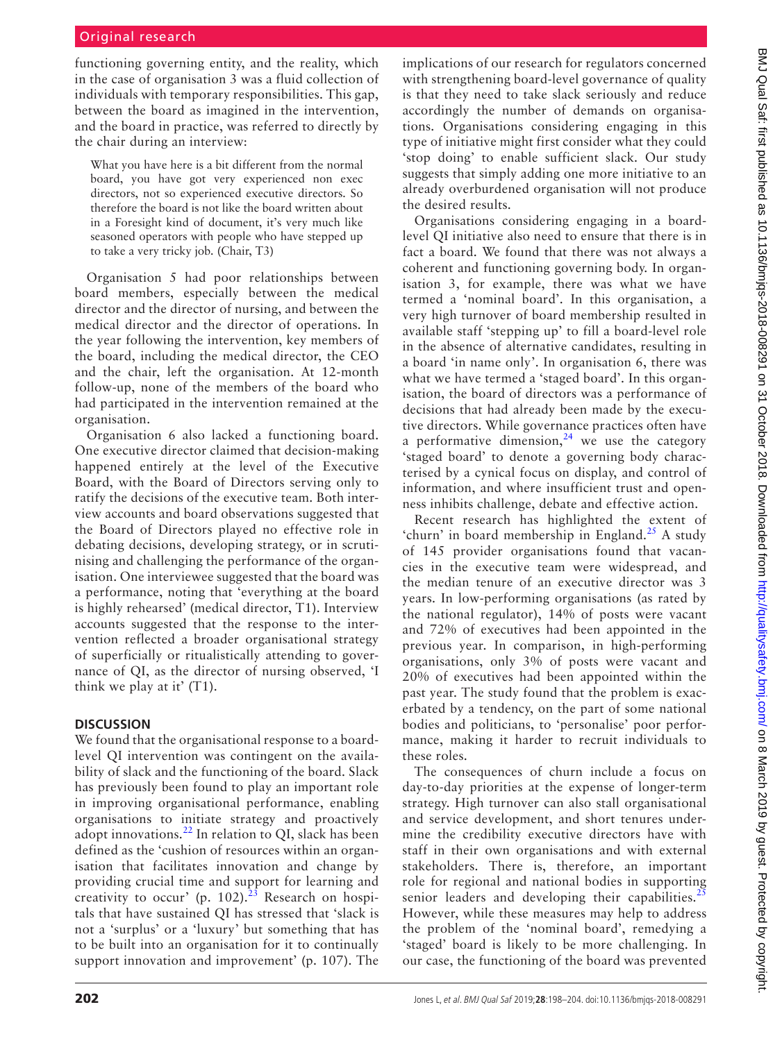### Original research

functioning governing entity, and the reality, which in the case of organisation 3 was a fluid collection of individuals with temporary responsibilities. This gap, between the board as imagined in the intervention, and the board in practice, was referred to directly by the chair during an interview:

What you have here is a bit different from the normal board, you have got very experienced non exec directors, not so experienced executive directors. So therefore the board is not like the board written about in a Foresight kind of document, it's very much like seasoned operators with people who have stepped up to take a very tricky job. (Chair, T3)

Organisation 5 had poor relationships between board members, especially between the medical director and the director of nursing, and between the medical director and the director of operations. In the year following the intervention, key members of the board, including the medical director, the CEO and the chair, left the organisation. At 12-month follow-up, none of the members of the board who had participated in the intervention remained at the organisation.

Organisation 6 also lacked a functioning board. One executive director claimed that decision-making happened entirely at the level of the Executive Board, with the Board of Directors serving only to ratify the decisions of the executive team. Both interview accounts and board observations suggested that the Board of Directors played no effective role in debating decisions, developing strategy, or in scrutinising and challenging the performance of the organisation. One interviewee suggested that the board was a performance, noting that 'everything at the board is highly rehearsed' (medical director, T1). Interview accounts suggested that the response to the intervention reflected a broader organisational strategy of superficially or ritualistically attending to governance of QI, as the director of nursing observed, 'I think we play at it' (T1).

#### **Discussion**

We found that the organisational response to a boardlevel QI intervention was contingent on the availability of slack and the functioning of the board. Slack has previously been found to play an important role in improving organisational performance, enabling organisations to initiate strategy and proactively adopt innovations.[22](#page-6-6) In relation to QI, slack has been defined as the 'cushion of resources within an organisation that facilitates innovation and change by providing crucial time and support for learning and creativity to occur' (p. 102).<sup>23</sup> Research on hospitals that have sustained QI has stressed that 'slack is not a 'surplus' or a 'luxury' but something that has to be built into an organisation for it to continually support innovation and improvement' (p. 107). The

implications of our research for regulators concerned with strengthening board-level governance of quality is that they need to take slack seriously and reduce accordingly the number of demands on organisations. Organisations considering engaging in this type of initiative might first consider what they could 'stop doing' to enable sufficient slack. Our study suggests that simply adding one more initiative to an already overburdened organisation will not produce the desired results.

Organisations considering engaging in a boardlevel QI initiative also need to ensure that there is in fact a board. We found that there was not always a coherent and functioning governing body. In organisation 3, for example, there was what we have termed a 'nominal board'. In this organisation, a very high turnover of board membership resulted in available staff 'stepping up' to fill a board-level role in the absence of alternative candidates, resulting in a board 'in name only'. In organisation 6, there was what we have termed a 'staged board'. In this organisation, the board of directors was a performance of decisions that had already been made by the executive directors. While governance practices often have a performative dimension,  $24$  we use the category 'staged board' to denote a governing body characterised by a cynical focus on display, and control of information, and where insufficient trust and openness inhibits challenge, debate and effective action.

Recent research has highlighted the extent of 'churn' in board membership in England.<sup>25</sup> A study of 145 provider organisations found that vacancies in the executive team were widespread, and the median tenure of an executive director was 3 years. In low-performing organisations (as rated by the national regulator), 14% of posts were vacant and 72% of executives had been appointed in the previous year. In comparison, in high-performing organisations, only 3% of posts were vacant and 20% of executives had been appointed within the past year. The study found that the problem is exacerbated by a tendency, on the part of some national bodies and politicians, to 'personalise' poor performance, making it harder to recruit individuals to these roles.

The consequences of churn include a focus on day-to-day priorities at the expense of longer-term strategy. High turnover can also stall organisational and service development, and short tenures undermine the credibility executive directors have with staff in their own organisations and with external stakeholders. There is, therefore, an important role for regional and national bodies in supporting senior leaders and developing their capabilities.<sup>[25](#page-6-9)</sup> However, while these measures may help to address the problem of the 'nominal board', remedying a 'staged' board is likely to be more challenging. In our case, the functioning of the board was prevented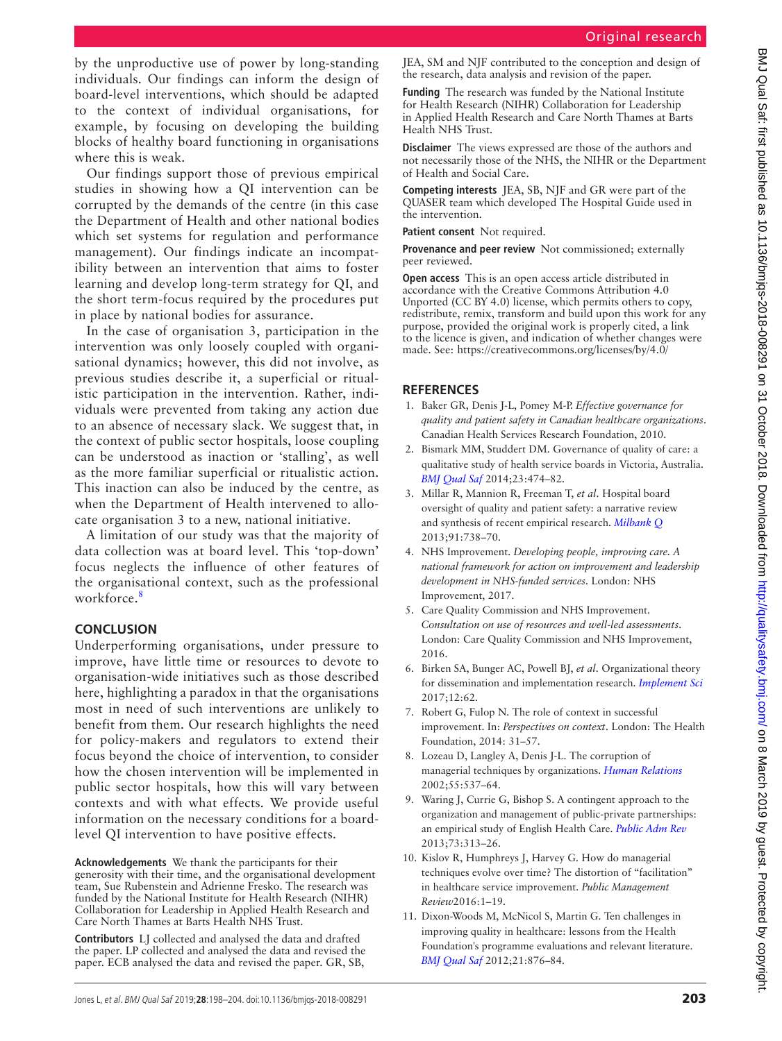by the unproductive use of power by long-standing individuals. Our findings can inform the design of board-level interventions, which should be adapted to the context of individual organisations, for example, by focusing on developing the building blocks of healthy board functioning in organisations where this is weak.

Our findings support those of previous empirical studies in showing how a QI intervention can be corrupted by the demands of the centre (in this case the Department of Health and other national bodies which set systems for regulation and performance management). Our findings indicate an incompatibility between an intervention that aims to foster learning and develop long-term strategy for QI, and the short term-focus required by the procedures put in place by national bodies for assurance.

In the case of organisation 3, participation in the intervention was only loosely coupled with organisational dynamics; however, this did not involve, as previous studies describe it, a superficial or ritualistic participation in the intervention. Rather, individuals were prevented from taking any action due to an absence of necessary slack. We suggest that, in the context of public sector hospitals, loose coupling can be understood as inaction or 'stalling', as well as the more familiar superficial or ritualistic action. This inaction can also be induced by the centre, as when the Department of Health intervened to allocate organisation 3 to a new, national initiative.

A limitation of our study was that the majority of data collection was at board level. This 'top-down' focus neglects the influence of other features of the organisational context, such as the professional workforce.<sup>[8](#page-5-3)</sup>

# **Conclusion**

Underperforming organisations, under pressure to improve, have little time or resources to devote to organisation-wide initiatives such as those described here, highlighting a paradox in that the organisations most in need of such interventions are unlikely to benefit from them. Our research highlights the need for policy-makers and regulators to extend their focus beyond the choice of intervention, to consider how the chosen intervention will be implemented in public sector hospitals, how this will vary between contexts and with what effects. We provide useful information on the necessary conditions for a boardlevel QI intervention to have positive effects.

**Acknowledgements** We thank the participants for their generosity with their time, and the organisational development team, Sue Rubenstein and Adrienne Fresko. The research was funded by the National Institute for Health Research (NIHR) Collaboration for Leadership in Applied Health Research and Care North Thames at Barts Health NHS Trust.

**Contributors** LJ collected and analysed the data and drafted the paper. LP collected and analysed the data and revised the paper. ECB analysed the data and revised the paper. GR, SB,

JEA, SM and NJF contributed to the conception and design of the research, data analysis and revision of the paper.

**Funding** The research was funded by the National Institute for Health Research (NIHR) Collaboration for Leadership in Applied Health Research and Care North Thames at Barts Health NHS Trust.

**Disclaimer** The views expressed are those of the authors and not necessarily those of the NHS, the NIHR or the Department of Health and Social Care.

**Competing interests** JEA, SB, NJF and GR were part of the QUASER team which developed The Hospital Guide used in the intervention.

**Patient consent** Not required.

**Provenance and peer review** Not commissioned; externally peer reviewed.

**Open access** This is an open access article distributed in accordance with the Creative Commons Attribution 4.0 Unported (CC BY 4.0) license, which permits others to copy, redistribute, remix, transform and build upon this work for any purpose, provided the original work is properly cited, a link to the licence is given, and indication of whether changes were made. See:<https://creativecommons.org/licenses/by/4.0/>

# **References**

- <span id="page-5-0"></span>1. Baker GR, Denis J-L, Pomey M-P. *Effective governance for quality and patient safety in Canadian healthcare organizations*. Canadian Health Services Research Foundation, 2010.
- 2. Bismark MM, Studdert DM. Governance of quality of care: a qualitative study of health service boards in Victoria, Australia. *[BMJ Qual Saf](http://dx.doi.org/10.1136/bmjqs-2013-002193)* 2014;23:474–82.
- 3. Millar R, Mannion R, Freeman T, *et al*. Hospital board oversight of quality and patient safety: a narrative review and synthesis of recent empirical research. *[Milbank Q](http://dx.doi.org/10.1111/1468-0009.12032)* 2013;91:738–70.
- <span id="page-5-1"></span>4. NHS Improvement. *Developing people, improving care. A national framework for action on improvement and leadership development in NHS-funded services*. London: NHS Improvement, 2017.
- 5. Care Quality Commission and NHS Improvement. *Consultation on use of resources and well-led assessments*. London: Care Quality Commission and NHS Improvement, 2016.
- <span id="page-5-2"></span>6. Birken SA, Bunger AC, Powell BJ, *et al*. Organizational theory for dissemination and implementation research. *[Implement Sci](http://dx.doi.org/10.1186/s13012-017-0592-x)* 2017;12:62.
- 7. Robert G, Fulop N. The role of context in successful improvement. In: *Perspectives on context*. London: The Health Foundation, 2014: 31–57.
- <span id="page-5-3"></span>8. Lozeau D, Langley A, Denis J-L. The corruption of managerial techniques by organizations. *[Human Relations](http://dx.doi.org/10.1177/0018726702055005427)* 2002;55:537–64.
- <span id="page-5-4"></span>9. Waring J, Currie G, Bishop S. A contingent approach to the organization and management of public-private partnerships: an empirical study of English Health Care. *[Public Adm Rev](http://dx.doi.org/10.1111/puar.12020)* 2013;73:313–26.
- <span id="page-5-5"></span>10. Kislov R, Humphreys J, Harvey G. How do managerial techniques evolve over time? The distortion of "facilitation" in healthcare service improvement. *Public Management Review*2016:1–19.
- 11. Dixon-Woods M, McNicol S, Martin G. Ten challenges in improving quality in healthcare: lessons from the Health Foundation's programme evaluations and relevant literature. *[BMJ Qual Saf](http://dx.doi.org/10.1136/bmjqs-2011-000760)* 2012;21:876–84.